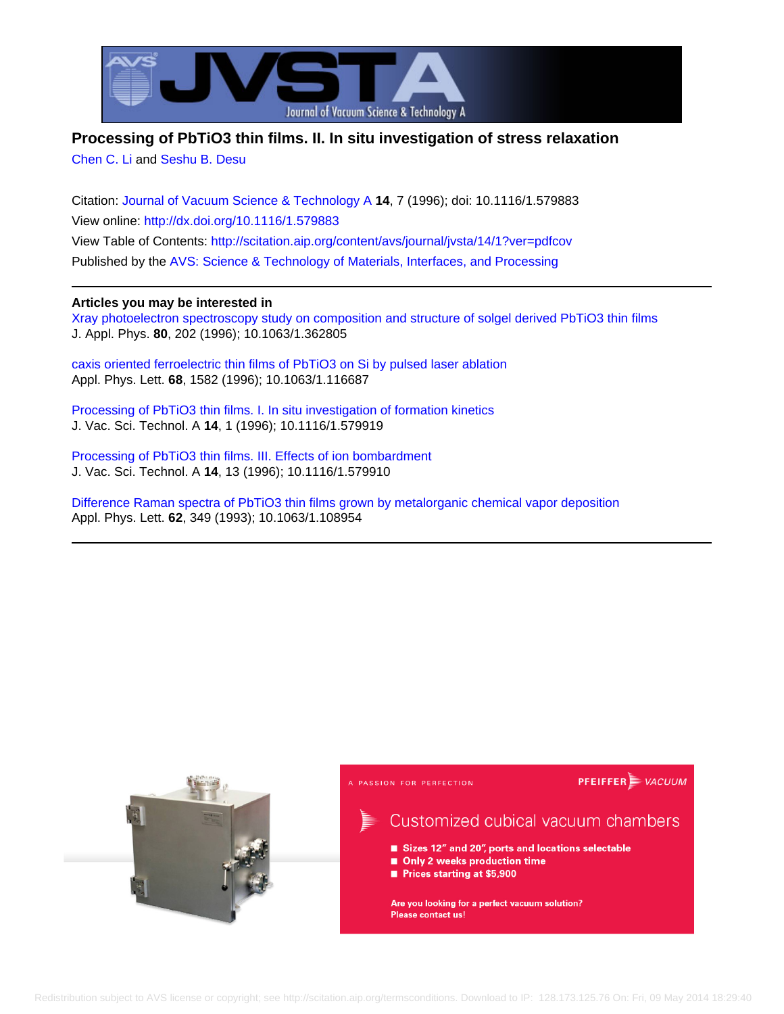

# **Processing of PbTiO3 thin films. II. In situ investigation of stress relaxation**

[Chen C. Li](http://scitation.aip.org/search?value1=Chen+C.+Li&option1=author) and [Seshu B. Desu](http://scitation.aip.org/search?value1=Seshu+B.+Desu&option1=author)

Citation: [Journal of Vacuum Science & Technology A](http://scitation.aip.org/content/avs/journal/jvsta?ver=pdfcov) **14**, 7 (1996); doi: 10.1116/1.579883 View online: <http://dx.doi.org/10.1116/1.579883> View Table of Contents: <http://scitation.aip.org/content/avs/journal/jvsta/14/1?ver=pdfcov> Published by the [AVS: Science & Technology of Materials, Interfaces, and Processing](http://scitation.aip.org/content/avs?ver=pdfcov)

# **Articles you may be interested in**

[Xray photoelectron spectroscopy study on composition and structure of solgel derived PbTiO3 thin films](http://scitation.aip.org/content/aip/journal/jap/80/1/10.1063/1.362805?ver=pdfcov) J. Appl. Phys. **80**, 202 (1996); 10.1063/1.362805

[caxis oriented ferroelectric thin films of PbTiO3 on Si by pulsed laser ablation](http://scitation.aip.org/content/aip/journal/apl/68/11/10.1063/1.116687?ver=pdfcov) Appl. Phys. Lett. **68**, 1582 (1996); 10.1063/1.116687

[Processing of PbTiO3 thin films. I. In situ investigation of formation kinetics](http://scitation.aip.org/content/avs/journal/jvsta/14/1/10.1116/1.579919?ver=pdfcov) J. Vac. Sci. Technol. A **14**, 1 (1996); 10.1116/1.579919

[Processing of PbTiO3 thin films. III. Effects of ion bombardment](http://scitation.aip.org/content/avs/journal/jvsta/14/1/10.1116/1.579910?ver=pdfcov) J. Vac. Sci. Technol. A **14**, 13 (1996); 10.1116/1.579910

[Difference Raman spectra of PbTiO3 thin films grown by metalorganic chemical vapor deposition](http://scitation.aip.org/content/aip/journal/apl/62/4/10.1063/1.108954?ver=pdfcov) Appl. Phys. Lett. **62**, 349 (1993); 10.1063/1.108954

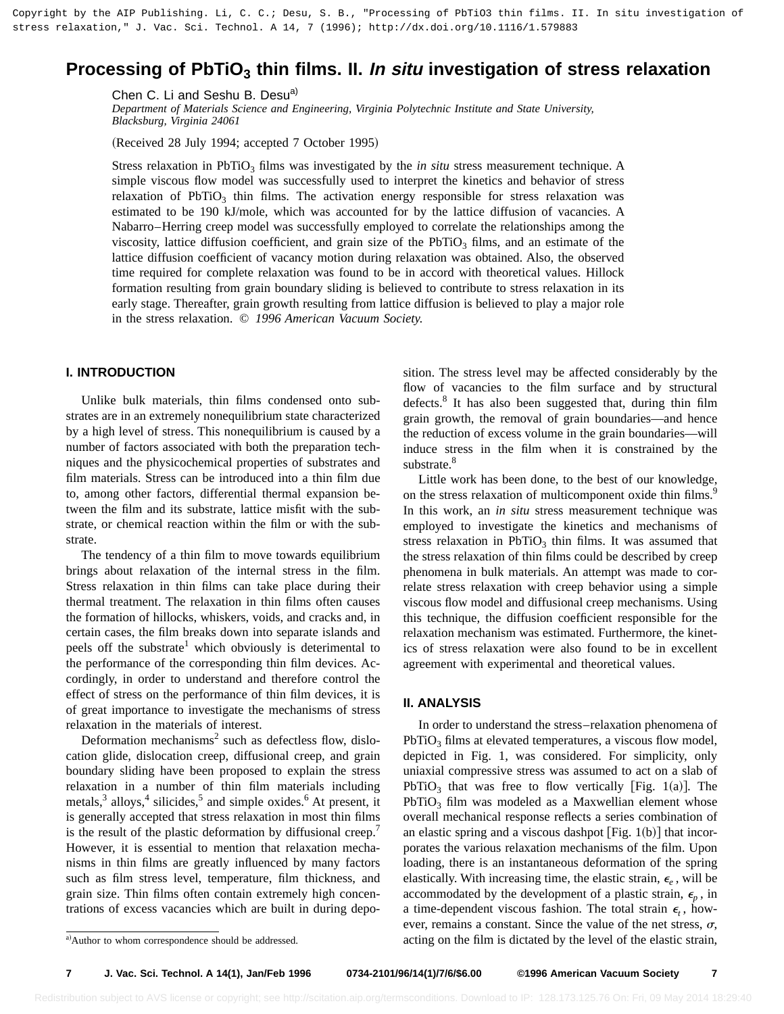# **Processing of PbTiO<sub>3</sub> thin films. II. In situ investigation of stress relaxation**

Chen C. Li and Seshu B. Desu<sup>a)</sup>

*Department of Materials Science and Engineering, Virginia Polytechnic Institute and State University, Blacksburg, Virginia 24061*

(Received 28 July 1994; accepted 7 October 1995)

Stress relaxation in PbTiO<sub>3</sub> films was investigated by the *in situ* stress measurement technique. A simple viscous flow model was successfully used to interpret the kinetics and behavior of stress relaxation of PbTiO<sub>3</sub> thin films. The activation energy responsible for stress relaxation was estimated to be 190 kJ/mole, which was accounted for by the lattice diffusion of vacancies. A Nabarro–Herring creep model was successfully employed to correlate the relationships among the viscosity, lattice diffusion coefficient, and grain size of the  $PbTiO<sub>3</sub>$  films, and an estimate of the lattice diffusion coefficient of vacancy motion during relaxation was obtained. Also, the observed time required for complete relaxation was found to be in accord with theoretical values. Hillock formation resulting from grain boundary sliding is believed to contribute to stress relaxation in its early stage. Thereafter, grain growth resulting from lattice diffusion is believed to play a major role in the stress relaxation. © *1996 American Vacuum Society.*

# **I. INTRODUCTION**

Unlike bulk materials, thin films condensed onto substrates are in an extremely nonequilibrium state characterized by a high level of stress. This nonequilibrium is caused by a number of factors associated with both the preparation techniques and the physicochemical properties of substrates and film materials. Stress can be introduced into a thin film due to, among other factors, differential thermal expansion between the film and its substrate, lattice misfit with the substrate, or chemical reaction within the film or with the substrate.

The tendency of a thin film to move towards equilibrium brings about relaxation of the internal stress in the film. Stress relaxation in thin films can take place during their thermal treatment. The relaxation in thin films often causes the formation of hillocks, whiskers, voids, and cracks and, in certain cases, the film breaks down into separate islands and peels off the substrate<sup>1</sup> which obviously is deterimental to the performance of the corresponding thin film devices. Accordingly, in order to understand and therefore control the effect of stress on the performance of thin film devices, it is of great importance to investigate the mechanisms of stress relaxation in the materials of interest.

Deformation mechanisms<sup>2</sup> such as defectless flow, dislocation glide, dislocation creep, diffusional creep, and grain boundary sliding have been proposed to explain the stress relaxation in a number of thin film materials including metals, $3$  alloys, $4$  silicides, $5$  and simple oxides. $6$  At present, it is generally accepted that stress relaxation in most thin films is the result of the plastic deformation by diffusional creep.<sup>7</sup> However, it is essential to mention that relaxation mechanisms in thin films are greatly influenced by many factors such as film stress level, temperature, film thickness, and grain size. Thin films often contain extremely high concentrations of excess vacancies which are built in during deposition. The stress level may be affected considerably by the flow of vacancies to the film surface and by structural defects.<sup>8</sup> It has also been suggested that, during thin film grain growth, the removal of grain boundaries—and hence the reduction of excess volume in the grain boundaries—will induce stress in the film when it is constrained by the substrate.<sup>8</sup>

Little work has been done, to the best of our knowledge, on the stress relaxation of multicomponent oxide thin films.<sup>9</sup> In this work, an *in situ* stress measurement technique was employed to investigate the kinetics and mechanisms of stress relaxation in  $PbTiO<sub>3</sub>$  thin films. It was assumed that the stress relaxation of thin films could be described by creep phenomena in bulk materials. An attempt was made to correlate stress relaxation with creep behavior using a simple viscous flow model and diffusional creep mechanisms. Using this technique, the diffusion coefficient responsible for the relaxation mechanism was estimated. Furthermore, the kinetics of stress relaxation were also found to be in excellent agreement with experimental and theoretical values.

# **II. ANALYSIS**

In order to understand the stress–relaxation phenomena of  $PbTiO<sub>3</sub>$  films at elevated temperatures, a viscous flow model, depicted in Fig. 1, was considered. For simplicity, only uniaxial compressive stress was assumed to act on a slab of PbTiO<sub>3</sub> that was free to flow vertically [Fig. 1(a)]. The  $PbTiO<sub>3</sub>$  film was modeled as a Maxwellian element whose overall mechanical response reflects a series combination of an elastic spring and a viscous dashpot  $[Fig. 1(b)]$  that incorporates the various relaxation mechanisms of the film. Upon loading, there is an instantaneous deformation of the spring elastically. With increasing time, the elastic strain,  $\epsilon_e$ , will be accommodated by the development of a plastic strain,  $\epsilon_p$ , in a time-dependent viscous fashion. The total strain  $\epsilon_t$ , however, remains a constant. Since the value of the net stress,  $\sigma$ , acting on the film is dictated by the level of the elastic strain,

a)Author to whom correspondence should be addressed.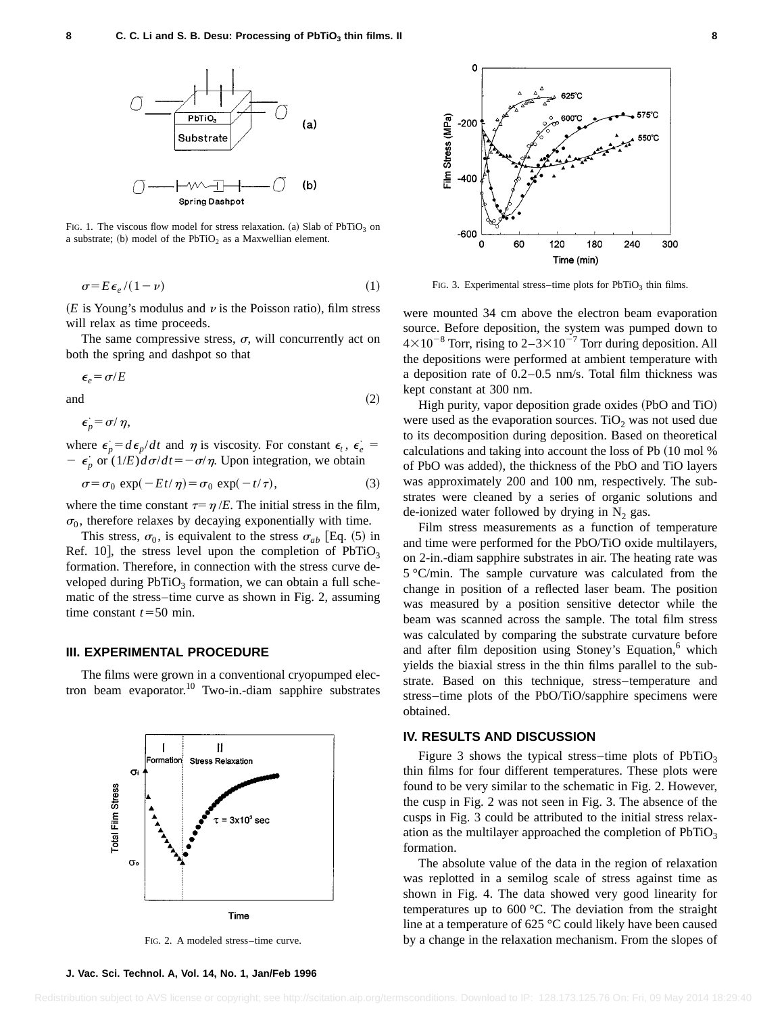

FIG. 1. The viscous flow model for stress relaxation. (a) Slab of  $PbTiO<sub>3</sub>$  on a substrate; (b) model of the  $PbTiO<sub>2</sub>$  as a Maxwellian element.

$$
\sigma = E \, \epsilon_e / (1 - \nu) \tag{1}
$$

 $(E$  is Young's modulus and  $\nu$  is the Poisson ratio), film stress will relax as time proceeds.

The same compressive stress,  $\sigma$ , will concurrently act on both the spring and dashpot so that

$$
\epsilon_e = \sigma/E
$$

and  $(2)$ 

 $\epsilon_p^{\cdot} = \sigma / \eta,$ 

where  $\epsilon_p = d\epsilon_p/dt$  and  $\eta$  is viscosity. For constant  $\epsilon_t$ ,  $\epsilon_e =$  $-\epsilon_p$  or  $(1/E)d\sigma/dt = -\sigma/\eta$ . Upon integration, we obtain

$$
\sigma = \sigma_0 \exp(-Et/\eta) = \sigma_0 \exp(-t/\tau), \tag{3}
$$

where the time constant  $\tau=\eta/E$ . The initial stress in the film,  $\sigma_0$ , therefore relaxes by decaying exponentially with time.

This stress,  $\sigma_0$ , is equivalent to the stress  $\sigma_{ab}$  [Eq. (5) in Ref. 10], the stress level upon the completion of  $PbTiO<sub>3</sub>$ formation. Therefore, in connection with the stress curve developed during  $PbTiO<sub>3</sub>$  formation, we can obtain a full schematic of the stress–time curve as shown in Fig. 2, assuming time constant  $t = 50$  min.

#### **III. EXPERIMENTAL PROCEDURE**

The films were grown in a conventional cryopumped electron beam evaporator.10 Two-in.-diam sapphire substrates



FIG. 2. A modeled stress–time curve.



FIG. 3. Experimental stress–time plots for  $PbTiO<sub>3</sub>$  thin films.

were mounted 34 cm above the electron beam evaporation source. Before deposition, the system was pumped down to  $4\times10^{-8}$  Torr, rising to  $2-3\times10^{-7}$  Torr during deposition. All the depositions were performed at ambient temperature with a deposition rate of 0.2–0.5 nm/s. Total film thickness was kept constant at 300 nm.

High purity, vapor deposition grade oxides (PbO and TiO) were used as the evaporation sources. TiO<sub>2</sub> was not used due to its decomposition during deposition. Based on theoretical calculations and taking into account the loss of Pb  $(10 \text{ mol } %$ of PbO was added), the thickness of the PbO and TiO layers was approximately 200 and 100 nm, respectively. The substrates were cleaned by a series of organic solutions and de-ionized water followed by drying in  $N_2$  gas.

Film stress measurements as a function of temperature and time were performed for the PbO/TiO oxide multilayers, on 2-in.-diam sapphire substrates in air. The heating rate was 5 °C/min. The sample curvature was calculated from the change in position of a reflected laser beam. The position was measured by a position sensitive detector while the beam was scanned across the sample. The total film stress was calculated by comparing the substrate curvature before and after film deposition using Stoney's Equation, $6$  which yields the biaxial stress in the thin films parallel to the substrate. Based on this technique, stress–temperature and stress–time plots of the PbO/TiO/sapphire specimens were obtained.

#### **IV. RESULTS AND DISCUSSION**

Figure 3 shows the typical stress–time plots of  $PbTiO<sub>3</sub>$ thin films for four different temperatures. These plots were found to be very similar to the schematic in Fig. 2. However, the cusp in Fig. 2 was not seen in Fig. 3. The absence of the cusps in Fig. 3 could be attributed to the initial stress relaxation as the multilayer approached the completion of  $PbTiO<sub>3</sub>$ formation.

The absolute value of the data in the region of relaxation was replotted in a semilog scale of stress against time as shown in Fig. 4. The data showed very good linearity for temperatures up to 600 °C. The deviation from the straight line at a temperature of 625 °C could likely have been caused by a change in the relaxation mechanism. From the slopes of

**J. Vac. Sci. Technol. A, Vol. 14, No. 1, Jan/Feb 1996**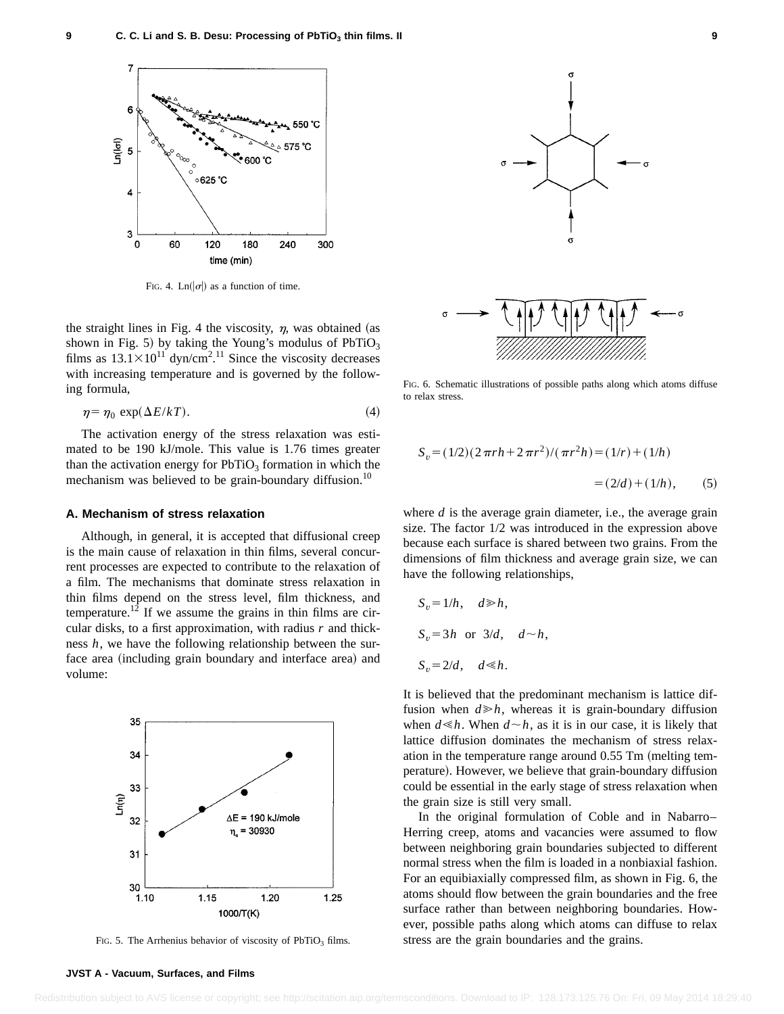

FIG. 4. Ln( $|\sigma|$ ) as a function of time.

the straight lines in Fig. 4 the viscosity,  $\eta$ , was obtained (as shown in Fig. 5) by taking the Young's modulus of  $PbTiO<sub>3</sub>$ films as  $13.1 \times 10^{11}$  dyn/cm<sup>2</sup>.<sup>11</sup> Since the viscosity decreases with increasing temperature and is governed by the following formula,

$$
\eta = \eta_0 \, \exp(\Delta E / kT). \tag{4}
$$

The activation energy of the stress relaxation was estimated to be 190 kJ/mole. This value is 1.76 times greater than the activation energy for  $PbTiO<sub>3</sub>$  formation in which the mechanism was believed to be grain-boundary diffusion.<sup>10</sup>

#### **A. Mechanism of stress relaxation**

Although, in general, it is accepted that diffusional creep is the main cause of relaxation in thin films, several concurrent processes are expected to contribute to the relaxation of a film. The mechanisms that dominate stress relaxation in thin films depend on the stress level, film thickness, and temperature.<sup>12</sup> If we assume the grains in thin films are circular disks, to a first approximation, with radius *r* and thickness *h*, we have the following relationship between the surface area (including grain boundary and interface area) and volume:



FIG. 5. The Arrhenius behavior of viscosity of  $PbTiO<sub>3</sub>$  films.



FIG. 6. Schematic illustrations of possible paths along which atoms diffuse to relax stress.

$$
S_v = (1/2)(2\pi rh + 2\pi r^2)/(\pi r^2 h) = (1/r) + (1/h)
$$
  
= (2/d) + (1/h), (5)

where *d* is the average grain diameter, i.e., the average grain size. The factor 1/2 was introduced in the expression above because each surface is shared between two grains. From the dimensions of film thickness and average grain size, we can have the following relationships,

$$
S_v = 1/h, \quad d \ge h,
$$
  
\n
$$
S_v = 3h \text{ or } 3/d, \quad d \sim h,
$$
  
\n
$$
S_v = 2/d, \quad d \le h.
$$

It is believed that the predominant mechanism is lattice diffusion when  $d \ge h$ , whereas it is grain-boundary diffusion when  $d \leq h$ . When  $d \sim h$ , as it is in our case, it is likely that lattice diffusion dominates the mechanism of stress relaxation in the temperature range around  $0.55$  Tm (melting temperature). However, we believe that grain-boundary diffusion could be essential in the early stage of stress relaxation when the grain size is still very small.

In the original formulation of Coble and in Nabarro– Herring creep, atoms and vacancies were assumed to flow between neighboring grain boundaries subjected to different normal stress when the film is loaded in a nonbiaxial fashion. For an equibiaxially compressed film, as shown in Fig. 6, the atoms should flow between the grain boundaries and the free surface rather than between neighboring boundaries. However, possible paths along which atoms can diffuse to relax stress are the grain boundaries and the grains.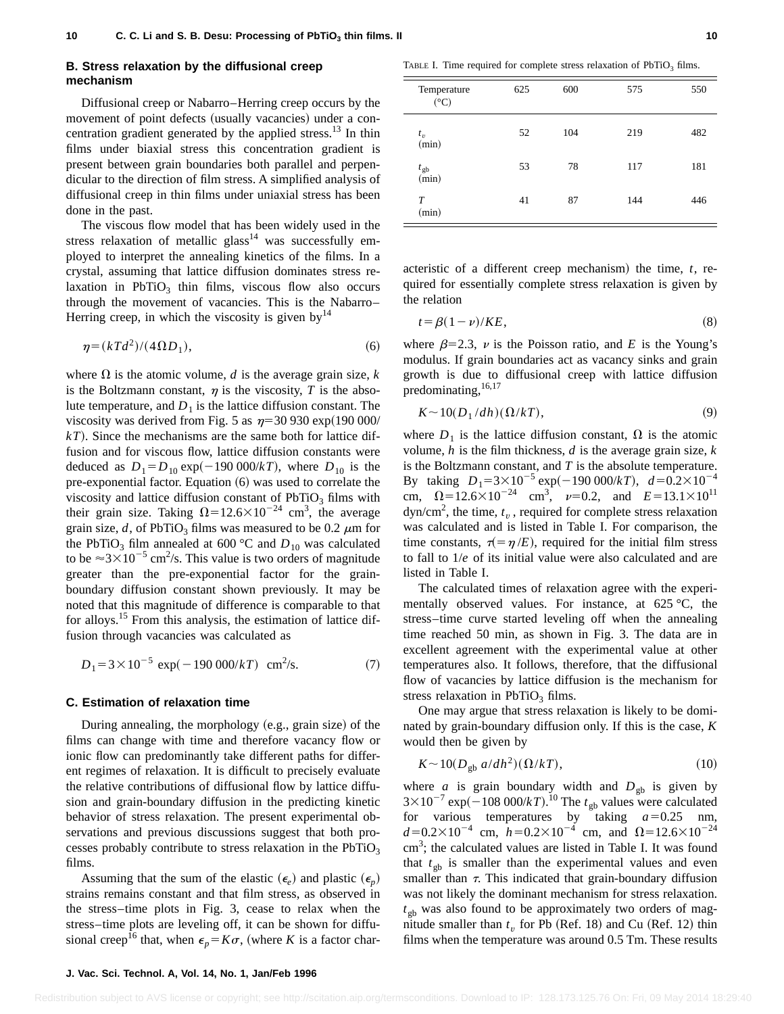#### **B. Stress relaxation by the diffusional creep mechanism**

Diffusional creep or Nabarro–Herring creep occurs by the movement of point defects (usually vacancies) under a concentration gradient generated by the applied stress.<sup>13</sup> In thin films under biaxial stress this concentration gradient is present between grain boundaries both parallel and perpendicular to the direction of film stress. A simplified analysis of diffusional creep in thin films under uniaxial stress has been done in the past.

The viscous flow model that has been widely used in the stress relaxation of metallic glass<sup>14</sup> was successfully employed to interpret the annealing kinetics of the films. In a crystal, assuming that lattice diffusion dominates stress relaxation in  $PbTiO<sub>3</sub>$  thin films, viscous flow also occurs through the movement of vacancies. This is the Nabarro– Herring creep, in which the viscosity is given by  $14$ 

$$
\eta = (kT d^2)/(4\Omega D_1),\tag{6}
$$

where  $\Omega$  is the atomic volume, *d* is the average grain size, *k* is the Boltzmann constant,  $\eta$  is the viscosity, *T* is the absolute temperature, and  $D_1$  is the lattice diffusion constant. The viscosity was derived from Fig. 5 as  $\eta$ =30 930 exp(190 000/  $kT$ ). Since the mechanisms are the same both for lattice diffusion and for viscous flow, lattice diffusion constants were deduced as  $D_1 = D_{10} \exp(-190\,000/k)$ , where  $D_{10}$  is the pre-exponential factor. Equation  $(6)$  was used to correlate the viscosity and lattice diffusion constant of  $PbTiO<sub>3</sub>$  films with their grain size. Taking  $\Omega = 12.6 \times 10^{-24}$  cm<sup>3</sup>, the average grain size, *d*, of PbTiO<sub>3</sub> films was measured to be 0.2  $\mu$ m for the PbTiO<sub>3</sub> film annealed at 600 °C and  $D_{10}$  was calculated to be  $\approx 3 \times 10^{-5}$  cm<sup>2</sup>/s. This value is two orders of magnitude greater than the pre-exponential factor for the grainboundary diffusion constant shown previously. It may be noted that this magnitude of difference is comparable to that for alloys.<sup>15</sup> From this analysis, the estimation of lattice diffusion through vacancies was calculated as

$$
D_1 = 3 \times 10^{-5} \exp(-190\,000/kT) \text{ cm}^2\text{/s.}
$$
 (7)

#### **C. Estimation of relaxation time**

During annealing, the morphology  $(e.g., grain size)$  of the films can change with time and therefore vacancy flow or ionic flow can predominantly take different paths for different regimes of relaxation. It is difficult to precisely evaluate the relative contributions of diffusional flow by lattice diffusion and grain-boundary diffusion in the predicting kinetic behavior of stress relaxation. The present experimental observations and previous discussions suggest that both processes probably contribute to stress relaxation in the  $PbTiO<sub>3</sub>$ films.

Assuming that the sum of the elastic  $(\epsilon_e)$  and plastic  $(\epsilon_n)$ strains remains constant and that film stress, as observed in the stress–time plots in Fig. 3, cease to relax when the stress–time plots are leveling off, it can be shown for diffusional creep<sup>16</sup> that, when  $\epsilon_p = K\sigma$ , (where *K* is a factor char-

TABLE I. Time required for complete stress relaxation of  $PbTiO<sub>3</sub>$  films.

| Temperature<br>$({}^{\circ}C)$ | 625 | 600 | 575 | 550 |
|--------------------------------|-----|-----|-----|-----|
| $t_v$<br>(min)                 | 52  | 104 | 219 | 482 |
| $t_{\text{gb}}$<br>(min)       | 53  | 78  | 117 | 181 |
| T<br>(min)                     | 41  | 87  | 144 | 446 |

acteristic of a different creep mechanism) the time,  $t$ , required for essentially complete stress relaxation is given by the relation

$$
t = \beta(1 - \nu)/KE,\tag{8}
$$

where  $\beta$ =2.3,  $\nu$  is the Poisson ratio, and *E* is the Young's modulus. If grain boundaries act as vacancy sinks and grain growth is due to diffusional creep with lattice diffusion predominating,  $16,17$ 

$$
K \sim 10(D_1/dh)(\Omega/kT),\tag{9}
$$

where  $D_1$  is the lattice diffusion constant,  $\Omega$  is the atomic volume, *h* is the film thickness, *d* is the average grain size, *k* is the Boltzmann constant, and *T* is the absolute temperature. By taking  $D_1 = 3 \times 10^{-5}$  exp( $-190\ 000/kT$ ),  $d=0.2\times10^{-4}$ cm,  $\Omega = 12.6 \times 10^{-24}$  cm<sup>3</sup>,  $\nu = 0.2$ , and  $E = 13.1 \times 10^{11}$  $dyn/cm<sup>2</sup>$ , the time,  $t_v$ , required for complete stress relaxation was calculated and is listed in Table I. For comparison, the time constants,  $\tau(=\eta /E)$ , required for the initial film stress to fall to 1/*e* of its initial value were also calculated and are listed in Table I.

The calculated times of relaxation agree with the experimentally observed values. For instance, at 625 °C, the stress–time curve started leveling off when the annealing time reached 50 min, as shown in Fig. 3. The data are in excellent agreement with the experimental value at other temperatures also. It follows, therefore, that the diffusional flow of vacancies by lattice diffusion is the mechanism for stress relaxation in  $PbTiO<sub>3</sub>$  films.

One may argue that stress relaxation is likely to be dominated by grain-boundary diffusion only. If this is the case, *K* would then be given by

$$
K \sim 10(D_{\text{gb}} a/dh^2)(\Omega/kT),\tag{10}
$$

where *a* is grain boundary width and  $D_{gh}$  is given by  $3 \times 10^{-7}$  exp( $-108\ 000/kT$ ).<sup>10</sup> The  $t_{gb}$  values were calculated for various temperatures by taking  $a=0.25$  nm,  $d=0.2\times10^{-4}$  cm,  $h=0.2\times10^{-4}$  cm, and  $\Omega=12.6\times10^{-24}$ cm<sup>3</sup>; the calculated values are listed in Table I. It was found that  $t_{gb}$  is smaller than the experimental values and even smaller than  $\tau$ . This indicated that grain-boundary diffusion was not likely the dominant mechanism for stress relaxation.  $t_{\rm ob}$  was also found to be approximately two orders of magnitude smaller than  $t<sub>v</sub>$  for Pb (Ref. 18) and Cu (Ref. 12) thin films when the temperature was around 0.5 Tm. These results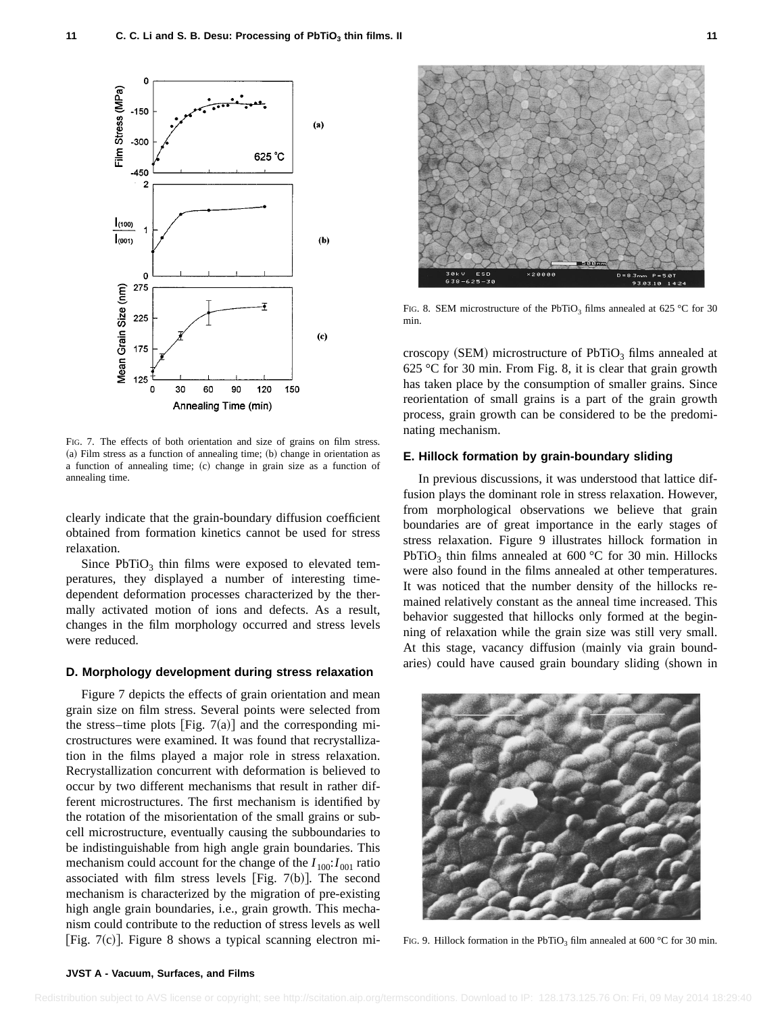

FIG. 7. The effects of both orientation and size of grains on film stress.  $(a)$  Film stress as a function of annealing time;  $(b)$  change in orientation as a function of annealing time; (c) change in grain size as a function of annealing time.

clearly indicate that the grain-boundary diffusion coefficient obtained from formation kinetics cannot be used for stress relaxation.

Since  $PbTiO<sub>3</sub>$  thin films were exposed to elevated temperatures, they displayed a number of interesting timedependent deformation processes characterized by the thermally activated motion of ions and defects. As a result, changes in the film morphology occurred and stress levels were reduced.

#### **D. Morphology development during stress relaxation**

Figure 7 depicts the effects of grain orientation and mean grain size on film stress. Several points were selected from the stress–time plots [Fig.  $7(a)$ ] and the corresponding microstructures were examined. It was found that recrystallization in the films played a major role in stress relaxation. Recrystallization concurrent with deformation is believed to occur by two different mechanisms that result in rather different microstructures. The first mechanism is identified by the rotation of the misorientation of the small grains or subcell microstructure, eventually causing the subboundaries to be indistinguishable from high angle grain boundaries. This mechanism could account for the change of the  $I_{100}: I_{001}$  ratio associated with film stress levels [Fig. 7(b)]. The second mechanism is characterized by the migration of pre-existing high angle grain boundaries, i.e., grain growth. This mechanism could contribute to the reduction of stress levels as well [Fig. 7 $(c)$ ]. Figure 8 shows a typical scanning electron mi-



FIG. 8. SEM microstructure of the PbTiO<sub>3</sub> films annealed at 625 °C for 30 min.

croscopy (SEM) microstructure of  $PbTiO<sub>3</sub>$  films annealed at 625 °C for 30 min. From Fig. 8, it is clear that grain growth has taken place by the consumption of smaller grains. Since reorientation of small grains is a part of the grain growth process, grain growth can be considered to be the predominating mechanism.

#### **E. Hillock formation by grain-boundary sliding**

In previous discussions, it was understood that lattice diffusion plays the dominant role in stress relaxation. However, from morphological observations we believe that grain boundaries are of great importance in the early stages of stress relaxation. Figure 9 illustrates hillock formation in PbTiO<sub>3</sub> thin films annealed at 600 °C for 30 min. Hillocks were also found in the films annealed at other temperatures. It was noticed that the number density of the hillocks remained relatively constant as the anneal time increased. This behavior suggested that hillocks only formed at the beginning of relaxation while the grain size was still very small. At this stage, vacancy diffusion (mainly via grain boundaries) could have caused grain boundary sliding (shown in



FIG. 9. Hillock formation in the PbTiO<sub>3</sub> film annealed at 600 °C for 30 min.